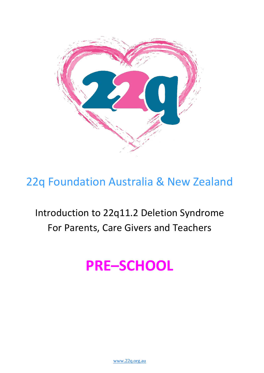

# 22q Foundation Australia & New Zealand

# Introduction to 22q11.2 Deletion Syndrome For Parents, Care Givers and Teachers

# **PRE–SCHOOL**

[www.22q.org.au](http://www.22q.org.au./)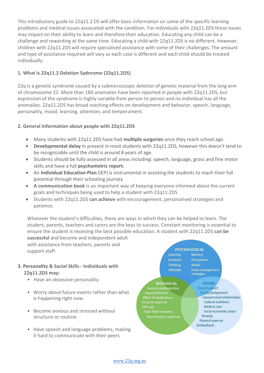This introductory guide to 22q11.2 DS will offer basic information on some of the specific learning problems and medical issues associated with the condition. For individuals with 22q11.2DS these issues may impact on their ability to learn and therefore their education. Educating any child can be a challenge and rewarding at the same time. Educating a child with 22q11.2DS is no different. However, children with 22q11.2DS will require specialised assistance with some of their challenges. The amount and type of assistance required will vary as each case is different and each child should be treated individually.

## **1. What is 22q11.2 Deletion Sydnrome (22q11.2DS)**

22q is a genetic syndrome caused by a submicroscopic deletion of genetic material from the long arm of chromosome 22. More than 180 anomalies have been reported in people with 22q11.2DS, but expression of the syndrome is highly variable from person to person and no individual has all the anomalies. 22q11.2DS has broad reaching effects on development and behavior, speech, language, personality, mood, learning, attention, and temperament.

## **2. General Information about people with 22q11.2DS**

- Many students with 22q11.2DS have had **multiple surgeries** once they reach school age.
- **Developmental delay** in present in most students with 22q11.2DS, however this doesn't tend to be recognizable until the child is around 8 years of age.
- Students should be fully assessed in all areas including: speech, language, gross and fine motor skills and have a full **psychometric report.**
- An **Individual Education Plan** (IEP) is instrumental in assisting the students to reach their full potential through their schooling journey
- **A communication book** is an important way of keeping everyone informed about the current goals and techniques being used to help a student with 22q11.2DS
- Students with 22q11.2DS **can achieve** with encouragement, personalised strategies and patience.

Whatever the student's difficulties, there are ways in which they can be helped to learn. The student, parents, teachers and carers are the keys to success. Constant monitoring is essential to ensure the student is receiving the best possible education. A student with 22q11.2DS **can be successful** and become and independent adult with assistance from teachers, parents and

support staff.

## **3. Personality & Social Skills - Individuals with 22q11.2DS may:**

- Have an obsessive personality.
- Worry about future events rather than what is happening right now.
- Become anxious and stressed without structure or routine.
- Have speech and language problems, making it hard to communicate with their peers



### **BIOLOGICAL**

Genetic predisposition **Effect of medications** Immune response **HPA axis** Fight-flight response Psychological responses

#### **SOCIAL Social Support Family Background** Interpersonal relationships **Cultural traditions** Medical care Socio-economic status Poverty Physical exercise Biofeedback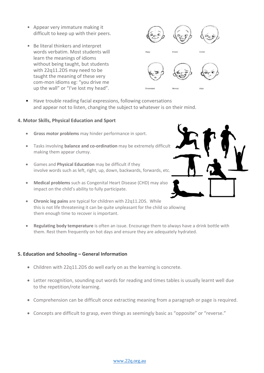- Appear very immature making it difficult to keep up with their peers.
- Be literal thinkers and interpret words verbatim. Most students will learn the meanings of idioms without being taught, but students with 22q11.2DS may need to be taught the meaning of these very com-mon idioms eg: "you drive me up the wall" or "I've lost my head".



• Have trouble reading facial expressions, following conversations and appear not to listen, changing the subject to whatever is on their mind.

#### **4. Motor Skills, Physical Education and Sport**

- **Gross motor problems** may hinder performance in sport.
- Tasks involving **balance and co-ordination** may be extremely difficult making them appear clumsy.
- Games and **Physical Education** may be difficult if they involve words such as left, right, up, down, backwards, forwards, etc.
- **Medical problems** such as Congenital Heart Disease (CHD) may also impact on the child's ability to fully participate.



- **Chronic leg pains** are typical for children with 22q11.2DS. While this is not life threatening it can be quite unpleasant for the child so allowing them enough time to recover is important.
- **Regulating body temperature** is often an issue. Encourage them to always have a drink bottle with them. Rest them frequently on hot days and ensure they are adequately hydrated.

#### **5. Education and Schooling – General Information**

- Children with 22q11.2DS do well early on as the learning is concrete.
- Letter recognition, sounding out words for reading and times tables is usually learnt well due to the repetition/rote learning.
- Comprehension can be difficult once extracting meaning from a paragraph or page is required.
- Concepts are difficult to grasp, even things as seemingly basic as "opposite" or "reverse."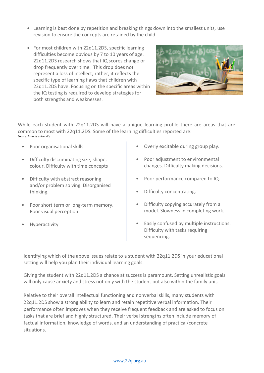- Learning is best done by repetition and breaking things down into the smallest units, use revision to ensure the concepts are retained by the child.
- For most children with 22q11.2DS, specific learning difficulties become obvious by 7 to 10 years of age. 22q11.2DS research shows that IQ scores change or drop frequently over time. This drop does not represent a loss of intellect; rather, it reflects the specific type of learning flaws that children with 22q11.2DS have. Focusing on the specific areas within the IQ testing is required to develop strategies for both strengths and weaknesses.



While each student with 22q11.2DS will have a unique learning profile there are areas that are common to most with 22q11.2DS. Some of the learning difficulties reported are: *Source: Brandis university*

- Poor organisational skills
- Difficulty discriminating size, shape, colour. Difficulty with time concepts
- Difficulty with abstract reasoning and/or problem solving. Disorganised thinking.
- Poor short term or long-term memory. Poor visual perception.
- **Hyperactivity**
- Overly excitable during group play.
- Poor adjustment to environmental changes. Difficulty making decisions.
- Poor performance compared to IQ.
- Difficulty concentrating.
- Difficulty copying accurately from a model. Slowness in completing work.
- Easily confused by multiple instructions. Difficulty with tasks requiring sequencing.

Identifying which of the above issues relate to a student with 22q11.2DS in your educational setting will help you plan their individual learning goals.

Giving the student with 22q11.2DS a chance at success is paramount. Setting unrealistic goals will only cause anxiety and stress not only with the student but also within the family unit.

Relative to their overall intellectual functioning and nonverbal skills, many students with 22q11.2DS show a strong ability to learn and retain repetitive verbal information. Their performance often improves when they receive frequent feedback and are asked to focus on tasks that are brief and highly structured. Their verbal strengths often include memory of factual information, knowledge of words, and an understanding of practical/concrete situations.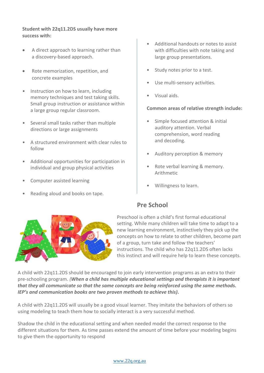## **Student with 22q11.2DS usually have more success with:**

- A direct approach to learning rather than a discovery-based approach.
- Rote memorization, repetition, and concrete examples
- Instruction on how to learn, including memory techniques and test taking skills. Small group instruction or assistance within a large group regular classroom.
- Several small tasks rather than multiple directions or large assignments
- A structured environment with clear rules to follow
- Additional opportunities for participation in individual and group physical activities
- Computer assisted learning
- Reading aloud and books on tape.
- Additional handouts or notes to assist with difficulties with note taking and large group presentations.
- Study notes prior to a test.
- Use multi-sensory activities.
- Visual aids.

#### **Common areas of relative strength include:**

- Simple focused attention & initial auditory attention. Verbal comprehension, word reading and decoding.
- Auditory perception & memory
- Rote verbal learning & memory. Arithmetic
- Willingness to learn.



## **Pre School**

Preschool is often a child's first formal educational setting. While many children will take time to adapt to a new learning environment, instinctively they pick up the concepts on how to relate to other children, become part of a group, turn take and follow the teachers' instructions. The child who has 22q11.2DS often lacks this instinct and will require help to learn these concepts.

A child with 22q11.2DS should be encouraged to join early intervention programs as an extra to their pre-schooling program. *(When a child has multiple educational settings and therapists it is important that they all communicate so that the same concepts are being reinforced using the same methods. IEP's and communication books are two proven methods to achieve this)***.**

A child with 22q11.2DS will usually be a good visual learner. They imitate the behaviors of others so using modeling to teach them how to socially interact is a very successful method.

Shadow the child in the educational setting and when needed model the correct response to the different situations for them. As time passes extend the amount of time before your modeling begins to give them the opportunity to respond

#### [www.22q.org.au](http://www.22q.org.au./)